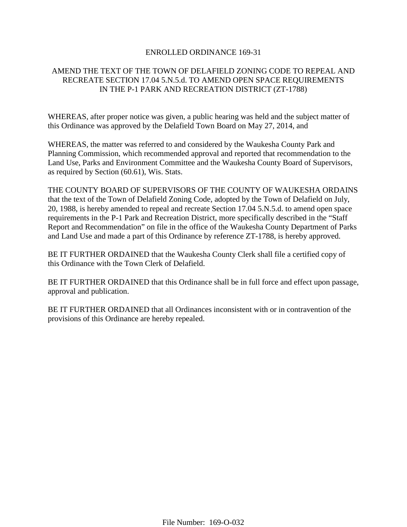## ENROLLED ORDINANCE 169-31

## AMEND THE TEXT OF THE TOWN OF DELAFIELD ZONING CODE TO REPEAL AND RECREATE SECTION 17.04 5.N.5.d. TO AMEND OPEN SPACE REQUIREMENTS IN THE P-1 PARK AND RECREATION DISTRICT (ZT-1788)

WHEREAS, after proper notice was given, a public hearing was held and the subject matter of this Ordinance was approved by the Delafield Town Board on May 27, 2014, and

WHEREAS, the matter was referred to and considered by the Waukesha County Park and Planning Commission, which recommended approval and reported that recommendation to the Land Use, Parks and Environment Committee and the Waukesha County Board of Supervisors, as required by Section (60.61), Wis. Stats.

THE COUNTY BOARD OF SUPERVISORS OF THE COUNTY OF WAUKESHA ORDAINS that the text of the Town of Delafield Zoning Code, adopted by the Town of Delafield on July, 20, 1988, is hereby amended to repeal and recreate Section 17.04 5.N.5.d. to amend open space requirements in the P-1 Park and Recreation District, more specifically described in the "Staff Report and Recommendation" on file in the office of the Waukesha County Department of Parks and Land Use and made a part of this Ordinance by reference ZT-1788, is hereby approved.

BE IT FURTHER ORDAINED that the Waukesha County Clerk shall file a certified copy of this Ordinance with the Town Clerk of Delafield.

BE IT FURTHER ORDAINED that this Ordinance shall be in full force and effect upon passage, approval and publication.

BE IT FURTHER ORDAINED that all Ordinances inconsistent with or in contravention of the provisions of this Ordinance are hereby repealed.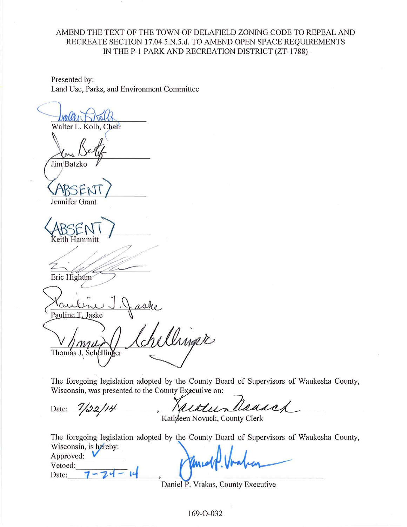## AMEND THE TEXT OF THE TOWN OF DELAFIELD ZONING CODE TO REPEAL AND RECREATE SECTION 17.04 5.N.5.d. TO AMEND OPEN SPACE REOUIREMENTS IN THE P-1 PARK AND RECREATION DISTRICT (ZT-1788)

Presented by: Land Use, Parks, and Environment Committee

Walter L. Kolb, Chair

Jim Batzko

Jennifer Grant

eith Hammitt

Eric Highum

Pauline T. Jaske

ellinger Thomas J. Schellinger

The foregoing legislation adopted by the County Board of Supervisors of Waukesha County, Wisconsin, was presented to the County Executive on:

Rousch authun Date:  $\frac{7}{32}/14$ 

Kathleen Novack, County Clerk

The foregoing legislation adopted by the County Board of Supervisors of Waukesha County, Wisconsin, is hereby: Approved:  $\blacksquare$ 

Vetoed: Date:

Daniel P. Vrakas, County Executive

169-0-032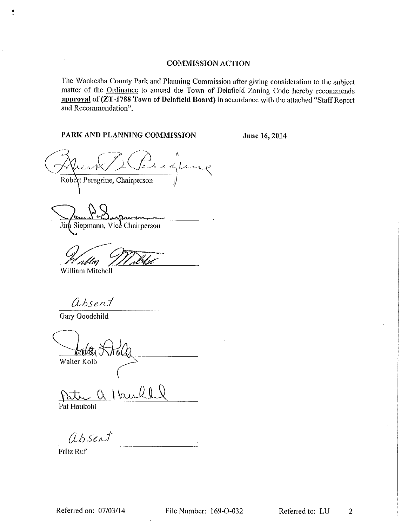#### **COMMISSION ACTION**

The Waukesha County Park and Planning Commission after giving consideration to the subject matter of the Ordinance to amend the Town of Delafield Zoning Code hereby recommends approval of (ZT-1788 Town of Delafield Board) in accordance with the attached "Staff Report and Recommendation".

## PARK AND PLANNING COMMISSION

June 16, 2014

Marg Robert Peregrine, Chairperson

Jim Siepmann, Vice Chairperson

relin William Mitchell

absent

Gary Goodchild

 $\frac{1}{2}$ 

naté Walter Kolb

faul  $\ell$ Pat Haukohl

absent

**Fritz Ruf**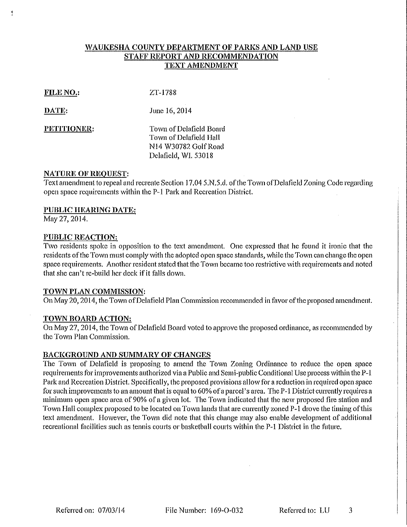## WAUKESHA COUNTY DEPARTMENT OF PARKS AND LAND USE STAFF REPORT AND RECOMMENDATION **TEXT AMENDMENT**

#### FILE NO.:

ZT-1788

DATE:

June 16, 2014

PETITIONER:

Town of Delafield Board Town of Delafield Hall N14 W30782 Golf Road Delafield, WI. 53018

#### **NATURE OF REQUEST:**

Text amendment to repeal and recreate Section 17.04 5.N.5.d. of the Town of Delafield Zoning Code regarding open space requirements within the P-1 Park and Recreation District.

#### **PUBLIC HEARING DATE:**

May 27, 2014.

## **PUBLIC REACTION:**

Two residents spoke in opposition to the text amendment. One expressed that he found it ironic that the residents of the Town must comply with the adopted open space standards, while the Town can change the open space requirements. Another resident stated that the Town became too restrictive with requirements and noted that she can't re-build her deck if it falls down.

#### TOWN PLAN COMMISSION:

On May 20, 2014, the Town of Delafield Plan Commission recommended in favor of the proposed amendment.

## TOWN BOARD ACTION:

On May 27, 2014, the Town of Delafield Board voted to approve the proposed ordinance, as recommended by the Town Plan Commission.

## BACKGROUND AND SUMMARY OF CHANGES

The Town of Delafield is proposing to amend the Town Zoning Ordinance to reduce the open space requirements for improvements authorized via a Public and Semi-public Conditional Use process within the P-1 Park and Recreation District. Specifically, the proposed provisions allow for a reduction in required open space for such improvements to an amount that is equal to 60% of a parcel's area. The P-1 District currently requires a minimum open space area of 90% of a given lot. The Town indicated that the new proposed fire station and Town Hall complex proposed to be located on Town lands that are currently zoned P-1 drove the timing of this text amendment. However, the Town did note that this change may also enable development of additional recreational facilities such as tennis courts or basketball courts within the P-1 District in the future.

File Number: 169-O-032

Referred to: LU 3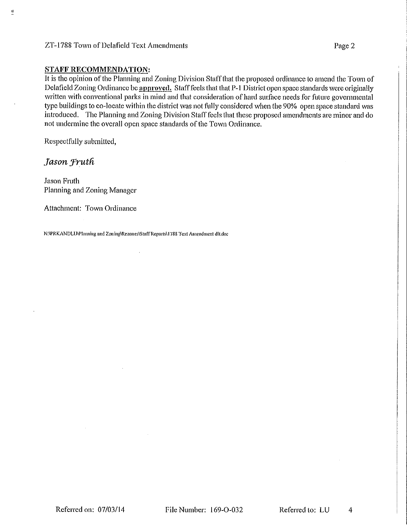## ZT-1788 Town of Delafield Text Amendments

#### **STAFF RECOMMENDATION:**

It is the opinion of the Planning and Zoning Division Staff that the proposed ordinance to amend the Town of Delafield Zoning Ordinance be approved. Staff feels that that P-1 District open space standards were originally written with conventional parks in mind and that consideration of hard surface needs for future governmental type buildings to co-locate within the district was not fully considered when the 90% open space standard was introduced. The Planning and Zoning Division Staff feels that these proposed amendments are minor and do not undermine the overall open space standards of the Town Ordinance.

Respectfully submitted,

## Jason Fruth

Ħ.

**Jason Fruth** Planning and Zoning Manager

Attachment: Town Ordinance

N:\PRKANDLU\Planning and Zoning\Rezones\Staff Reports\1788 Text Amendment dlt.doc

4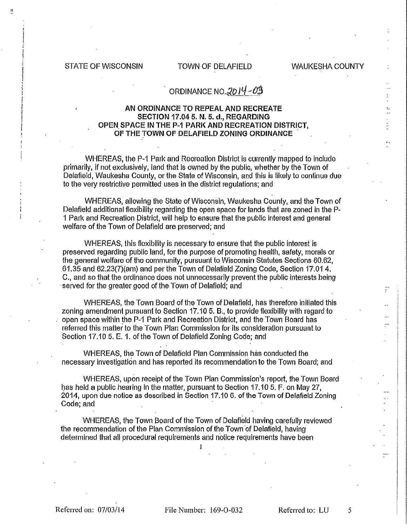**STATE OF WISCONSIN** 

## TOWN OF DELAFIELD

**WAUKESHA COUNTY** 

# ORDINANCE NO.  $2014 - 03$

#### AN ORDINANCE TO REPEAL AND RECREATE **SECTION 17.04 5. N. 5. d., REGARDING** OPEN SPACE IN THE P-1 PARK AND RECREATION DISTRICT. OF THE TOWN OF DELAFIELD ZONING ORDINANCE

WHEREAS, the P-1 Park and Recreation District is currently mapped to include primarily, if not exclusively, land that is owned by the public, whether by the Town of Delafield, Waukesha County, or the State of Wisconsin, and this is likely to continue due to the very restrictive permitted uses in the district regulations; and

WHEREAS, allowing the State of Wisconsin, Waukesha County, and the Town of Delafield additional flexibility regarding the open space for lands that are zoned in the P-1 Park and Recreation District, will help to ensure that the public interest and general welfare of the Town of Delafield are preserved; and

WHEREAS, this flexibility is necessary to ensure that the public interest is preserved regarding public land, for the purpose of promoting health, safety, morals or the general welfare of the community, pursuant to Wisconsin Statutes Sections 60.62, 61.35 and 62.23(7) (am) and per the Town of Delafield Zoning Code, Section 17.01 4. C., and so that the ordinance does not unnecessarily prevent the public interests being served for the greater good of the Town of Delafield; and

WHEREAS, the Town Board of the Town of Delafield, has therefore initiated this zoning amendment pursuant to Section 17.10 5. B., to provide flexibility with regard to open space within the P-1 Park and Recreation District, and the Town Board has referred this matter to the Town Plan Commission for its consideration pursuant to Section 17.10 5. E. 1. of the Town of Delafield Zoning Code; and

WHEREAS, the Town of Delatield Plan Commission has conducted the necessary investigation and has reported its recommendation to the Town Board; and

WHEREAS, upon receipt of the Town Plan Commission's report, the Town Board has held a public hearing in the matter, pursuant to Section 17.10 5. F. on May 27, 2014, upon due notice as described in Section 17.10 6. of the Town of Delafield Zoning Code; and

WHEREAS, the Town Board of the Town of Delafield having carefully reviewed the recommendation of the Plan Commission of the Town of Delafield, having determined that all procedural requirements and notice requirements have been

 $\mathbf{I}$ 

Referred on: 07/03/14

File Number: 169-O-032

Referred to: LU

5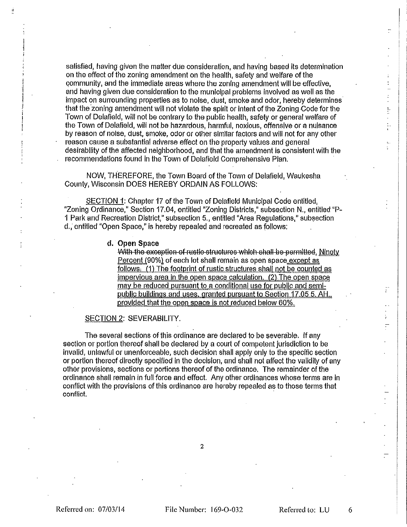satisfied, having given the matter due consideration, and having based its determination on the effect of the zoning amendment on the health, safety and welfare of the community, and the immediate areas where the zoning amendment will be effective, and having given due consideration to the municipal problems involved as well as the impact on surrounding properties as to noise, dust, smoke and odor, hereby determines that the zoning amendment will not violate the spirit or intent of the Zoning Code for the Town of Delafield, will not be contrary to the public health, safety or general welfare of the Town of Delafield, will not be hazardous, harmful, noxious, offensive or a nuisance by reason of noise, dust, smoke, odor or other similar factors and will not for any other reason cause a substantial adverse effect on the property values and general desirability of the affected neighborhood, and that the amendment is consistent with the recommendations found in the Town of Delafield Comprehensive Plan.

NOW, THEREFORE, the Town Board of the Town of Delafield, Waukesha County, Wisconsin DOES HEREBY ORDAIN AS FOLLOWS:

SECTION 1: Chapter 17 of the Town of Delafield Municipal Code entitled. "Zoning Ordinance," Section 17.04, entitled "Zoning Districts," subsection N., entitled "P-1 Park and Recreation District," subsection 5., entitled "Area Regulations," subsection d., entitled "Open Space," is hereby repealed and recreated as follows:

#### d. Open Space

With the exception of rustic-structures which shall be permitted, Ninety Percent (90%) of each lot shall remain as open space except as follows. (1) The footprint of rustic structures shall not be counted as impervious area in the open space calculation. (2) The open space may be reduced pursuant to a conditional use for public and semipublic buildings and uses, granted pursuant to Section 17.05 5. AH. provided that the open space is not reduced below 60%.

#### SECTION 2: SEVERABILITY.

The several sections of this ordinance are declared to be severable. If any section or portion thereof shall be declared by a court of competent jurisdiction to be invalid, unlawful or unenforceable, such decision shall apply only to the specific section or portion thereof directly specified in the decision, and shall not affect the validity of any other provisions, sections or portions thereof of the ordinance. The remainder of the ordinance shall remain in full force and effect. Any other ordinances whose terms are in conflict with the provisions of this ordinance are hereby repealed as to those terms that conflict.

6

 $\frac{1}{2}$ 

 $\frac{1}{2}$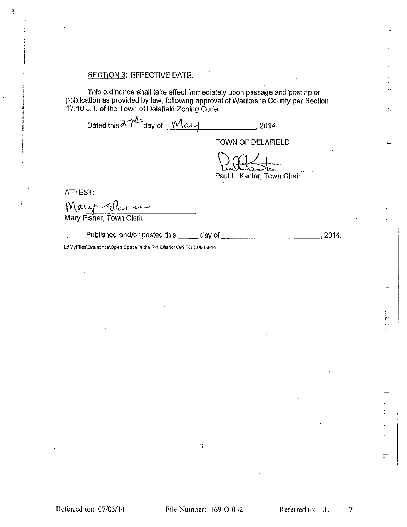## **SECTION 3: EFFECTIVE DATE.**

This ordinance shall take effect immediately upon passage and posting or publication as provided by law, following approval of Waukesha County per Section 17.10 5. I. of the Town of Delafield Zoning Code.

Dated this  $\lambda T^{\frac{1}{2}}$  day of  $\frac{M\alpha\mu}{\alpha}$  2014.

TOWN OF DELAFIELD

Paul L. Kanter, Town Chair

**ATTEST:** 

Å

Mary Glaver

**Mary Elsher, Town Clerk** 

 $, 2014.$ 

L:\MyFiles\Ordinance\Open Space In the P-1 District Ord.TOD.05-08-14

 $\overline{\mathbf{3}}$ 

 $\ddot{r}$ 

دخ Ħ